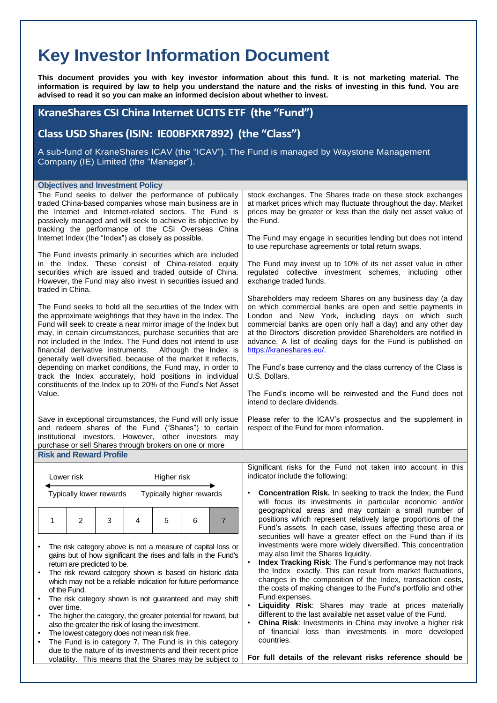## **Key Investor Information Document**

**This document provides you with key investor information about this fund. It is not marketing material. The information is required by law to help you understand the nature and the risks of investing in this fund. You are advised to read it so you can make an informed decision about whether to invest.**

## **KraneShares CSI China Internet UCITS ETF (the "Fund")**

**Class USD Shares (ISIN: IE00BFXR7892) (the "Class")**

A sub-fund of KraneShares ICAV (the "ICAV"). The Fund is managed by Waystone Management Company (IE) Limited (the "Manager").

| The Fund seeks to deliver the performance of publically<br>traded China-based companies whose main business are in<br>the Internet and Internet-related sectors. The Fund is<br>passively managed and will seek to achieve its objective by<br>tracking the performance of the CSI Overseas China                                                                                                                                                     | stock exchanges. The Shares trade on these stock exchanges<br>at market prices which may fluctuate throughout the day. Market<br>prices may be greater or less than the daily net asset value of<br>the Fund.                                                                                                                                                                                                                                                                                                 |
|-------------------------------------------------------------------------------------------------------------------------------------------------------------------------------------------------------------------------------------------------------------------------------------------------------------------------------------------------------------------------------------------------------------------------------------------------------|---------------------------------------------------------------------------------------------------------------------------------------------------------------------------------------------------------------------------------------------------------------------------------------------------------------------------------------------------------------------------------------------------------------------------------------------------------------------------------------------------------------|
| Internet Index (the "Index") as closely as possible.                                                                                                                                                                                                                                                                                                                                                                                                  | The Fund may engage in securities lending but does not intend<br>to use repurchase agreements or total return swaps.                                                                                                                                                                                                                                                                                                                                                                                          |
| The Fund invests primarily in securities which are included<br>in the Index. These consist of China-related equity<br>securities which are issued and traded outside of China.<br>However, the Fund may also invest in securities issued and<br>traded in China.                                                                                                                                                                                      | The Fund may invest up to 10% of its net asset value in other<br>regulated collective investment schemes, including other<br>exchange traded funds.                                                                                                                                                                                                                                                                                                                                                           |
| The Fund seeks to hold all the securities of the Index with<br>the approximate weightings that they have in the Index. The<br>Fund will seek to create a near mirror image of the Index but<br>may, in certain circumstances, purchase securities that are<br>not included in the Index. The Fund does not intend to use<br>financial derivative instruments. Although the Index is<br>generally well diversified, because of the market it reflects, | Shareholders may redeem Shares on any business day (a day<br>on which commercial banks are open and settle payments in<br>London and New York, including days on which such<br>commercial banks are open only half a day) and any other day<br>at the Directors' discretion provided Shareholders are notified in<br>advance. A list of dealing days for the Fund is published on<br>https://kraneshares.eu/.                                                                                                 |
| depending on market conditions, the Fund may, in order to<br>track the Index accurately, hold positions in individual                                                                                                                                                                                                                                                                                                                                 | The Fund's base currency and the class currency of the Class is<br>U.S. Dollars.                                                                                                                                                                                                                                                                                                                                                                                                                              |
| constituents of the Index up to 20% of the Fund's Net Asset<br>Value.                                                                                                                                                                                                                                                                                                                                                                                 | The Fund's income will be reinvested and the Fund does not<br>intend to declare dividends.                                                                                                                                                                                                                                                                                                                                                                                                                    |
| Save in exceptional circumstances, the Fund will only issue<br>and redeem shares of the Fund ("Shares") to certain<br>institutional investors. However, other investors may<br>purchase or sell Shares through brokers on one or more                                                                                                                                                                                                                 | Please refer to the ICAV's prospectus and the supplement in<br>respect of the Fund for more information.                                                                                                                                                                                                                                                                                                                                                                                                      |
| <b>Risk and Reward Profile</b>                                                                                                                                                                                                                                                                                                                                                                                                                        |                                                                                                                                                                                                                                                                                                                                                                                                                                                                                                               |
|                                                                                                                                                                                                                                                                                                                                                                                                                                                       |                                                                                                                                                                                                                                                                                                                                                                                                                                                                                                               |
| Higher risk<br>Lower risk                                                                                                                                                                                                                                                                                                                                                                                                                             | Significant risks for the Fund not taken into account in this<br>indicator include the following:                                                                                                                                                                                                                                                                                                                                                                                                             |
| Typically lower rewards<br>Typically higher rewards                                                                                                                                                                                                                                                                                                                                                                                                   | <b>Concentration Risk.</b> In seeking to track the Index, the Fund<br>٠<br>will focus its investments in particular economic and/or                                                                                                                                                                                                                                                                                                                                                                           |
| $\overline{2}$<br>3<br>5<br>$\overline{7}$<br>1<br>4<br>6                                                                                                                                                                                                                                                                                                                                                                                             | geographical areas and may contain a small number of<br>positions which represent relatively large proportions of the<br>Fund's assets. In each case, issues affecting these area or                                                                                                                                                                                                                                                                                                                          |
| The risk category above is not a measure of capital loss or<br>gains but of how significant the rises and falls in the Fund's<br>return are predicted to be.<br>The risk reward category shown is based on historic data<br>which may not be a reliable indication for future performance<br>of the Fund.<br>The risk category shown is not guaranteed and may shift<br>٠<br>over time.                                                               | securities will have a greater effect on the Fund than if its<br>investments were more widely diversified. This concentration<br>may also limit the Shares liquidity.<br>Index Tracking Risk: The Fund's performance may not track<br>the Index exactly. This can result from market fluctuations,<br>changes in the composition of the Index, transaction costs,<br>the costs of making changes to the Fund's portfolio and other<br>Fund expenses.<br>Liquidity Risk: Shares may trade at prices materially |
| The higher the category, the greater potential for reward, but<br>$\bullet$<br>also the greater the risk of losing the investment.<br>The lowest category does not mean risk free.<br>$\bullet$<br>The Fund is in category 7. The Fund is in this category                                                                                                                                                                                            | different to the last available net asset value of the Fund.<br><b>China Risk:</b> Investments in China may involve a higher risk<br>of financial loss than investments in more developed<br>countries.                                                                                                                                                                                                                                                                                                       |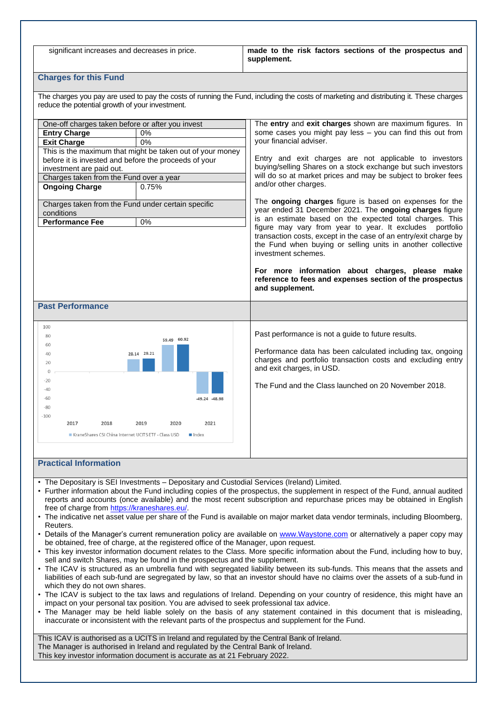significant increases and decreases in price. **made to the risk factors sections of the prospectus and supplement.**

## **Charges for this Fund**

The charges you pay are used to pay the costs of running the Fund, including the costs of marketing and distributing it. These charges reduce the potential growth of your investment.

| One-off charges taken before or after you invest<br><b>Entry Charge</b><br>0%<br><b>Exit Charge</b><br>0%<br>This is the maximum that might be taken out of your money<br>before it is invested and before the proceeds of your<br>investment are paid out.<br>Charges taken from the Fund over a year<br><b>Ongoing Charge</b><br>0.75%<br>Charges taken from the Fund under certain specific<br>conditions<br><b>Performance Fee</b><br>$0\%$ | The <b>entry</b> and <b>exit charges</b> shown are maximum figures. In<br>some cases you might pay less - you can find this out from<br>your financial adviser.<br>Entry and exit charges are not applicable to investors<br>buying/selling Shares on a stock exchange but such investors<br>will do so at market prices and may be subject to broker fees<br>and/or other charges.<br>The ongoing charges figure is based on expenses for the<br>year ended 31 December 2021. The ongoing charges figure<br>is an estimate based on the expected total charges. This<br>figure may vary from year to year. It excludes portfolio<br>transaction costs, except in the case of an entry/exit charge by<br>the Fund when buying or selling units in another collective<br>investment schemes.<br>For more information about charges, please make |
|-------------------------------------------------------------------------------------------------------------------------------------------------------------------------------------------------------------------------------------------------------------------------------------------------------------------------------------------------------------------------------------------------------------------------------------------------|------------------------------------------------------------------------------------------------------------------------------------------------------------------------------------------------------------------------------------------------------------------------------------------------------------------------------------------------------------------------------------------------------------------------------------------------------------------------------------------------------------------------------------------------------------------------------------------------------------------------------------------------------------------------------------------------------------------------------------------------------------------------------------------------------------------------------------------------|
|                                                                                                                                                                                                                                                                                                                                                                                                                                                 | reference to fees and expenses section of the prospectus<br>and supplement.                                                                                                                                                                                                                                                                                                                                                                                                                                                                                                                                                                                                                                                                                                                                                                    |
| <b>Past Performance</b>                                                                                                                                                                                                                                                                                                                                                                                                                         |                                                                                                                                                                                                                                                                                                                                                                                                                                                                                                                                                                                                                                                                                                                                                                                                                                                |
| 100<br>80<br>59.49 60.92<br>60<br>28.14 29.21<br>40<br>20<br>$\circ$<br>$-20$<br>$-40$<br>-60<br>-49.24 -48.98<br>$-80$<br>$-100$<br>2021<br>2017<br>2018<br>2019<br>2020<br>KraneShares CSI China Internet UCITS ETF - Class USD<br>$\blacksquare$ Index<br><b>Practical Information</b>                                                                                                                                                       | Past performance is not a guide to future results.<br>Performance data has been calculated including tax, ongoing<br>charges and portfolio transaction costs and excluding entry<br>and exit charges, in USD.<br>The Fund and the Class launched on 20 November 2018.                                                                                                                                                                                                                                                                                                                                                                                                                                                                                                                                                                          |

- The Depositary is SEI Investments Depositary and Custodial Services (Ireland) Limited.
- Further information about the Fund including copies of the prospectus, the supplement in respect of the Fund, annual audited reports and accounts (once available) and the most recent subscription and repurchase prices may be obtained in English free of charge from [https://kraneshares.eu/.](https://protect-eu.mimecast.com/s/rVIwCj79sYlLEVIWXkm7?domain=kraneshares.eu)
- The indicative net asset value per share of the Fund is available on major market data vendor terminals, including Bloomberg, Reuters.
- Details of the Manager's current remuneration policy are available on [www.Waystone.com](http://www.waystone.com/) or alternatively a paper copy may be obtained, free of charge, at the registered office of the Manager, upon request.
- This key investor information document relates to the Class. More specific information about the Fund, including how to buy, sell and switch Shares, may be found in the prospectus and the supplement.
- The ICAV is structured as an umbrella fund with segregated liability between its sub-funds. This means that the assets and liabilities of each sub-fund are segregated by law, so that an investor should have no claims over the assets of a sub-fund in which they do not own shares.
- The ICAV is subject to the tax laws and regulations of Ireland. Depending on your country of residence, this might have an impact on your personal tax position. You are advised to seek professional tax advice.
- The Manager may be held liable solely on the basis of any statement contained in this document that is misleading, inaccurate or inconsistent with the relevant parts of the prospectus and supplement for the Fund.

This ICAV is authorised as a UCITS in Ireland and regulated by the Central Bank of Ireland. The Manager is authorised in Ireland and regulated by the Central Bank of Ireland. This key investor information document is accurate as at 21 February 2022.